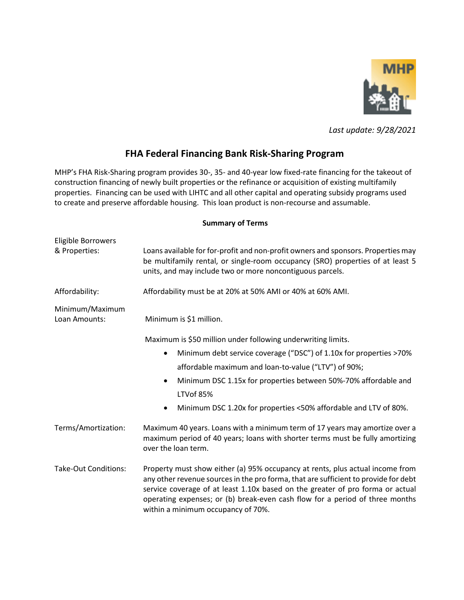

*Last update: 9/28/2021*

## **FHA Federal Financing Bank Risk-Sharing Program**

MHP's FHA Risk-Sharing program provides 30-, 35- and 40-year low fixed-rate financing for the takeout of construction financing of newly built properties or the refinance or acquisition of existing multifamily properties. Financing can be used with LIHTC and all other capital and operating subsidy programs used to create and preserve affordable housing.This loan product is non-recourse and assumable.

## **Summary of Terms**

| Eligible Borrowers<br>& Properties: | Loans available for for-profit and non-profit owners and sponsors. Properties may<br>be multifamily rental, or single-room occupancy (SRO) properties of at least 5<br>units, and may include two or more noncontiguous parcels.                                                                                                                                              |
|-------------------------------------|-------------------------------------------------------------------------------------------------------------------------------------------------------------------------------------------------------------------------------------------------------------------------------------------------------------------------------------------------------------------------------|
| Affordability:                      | Affordability must be at 20% at 50% AMI or 40% at 60% AMI.                                                                                                                                                                                                                                                                                                                    |
| Minimum/Maximum<br>Loan Amounts:    | Minimum is \$1 million.                                                                                                                                                                                                                                                                                                                                                       |
|                                     | Maximum is \$50 million under following underwriting limits.<br>Minimum debt service coverage ("DSC") of 1.10x for properties >70%<br>$\bullet$<br>affordable maximum and loan-to-value ("LTV") of 90%;<br>Minimum DSC 1.15x for properties between 50%-70% affordable and<br>$\bullet$<br>LTVof 85%<br>Minimum DSC 1.20x for properties <50% affordable and LTV of 80%.<br>٠ |
| Terms/Amortization:                 | Maximum 40 years. Loans with a minimum term of 17 years may amortize over a<br>maximum period of 40 years; loans with shorter terms must be fully amortizing<br>over the loan term.                                                                                                                                                                                           |
| <b>Take-Out Conditions:</b>         | Property must show either (a) 95% occupancy at rents, plus actual income from<br>any other revenue sources in the pro forma, that are sufficient to provide for debt<br>service coverage of at least 1.10x based on the greater of pro forma or actual<br>operating expenses; or (b) break-even cash flow for a period of three months<br>within a minimum occupancy of 70%.  |